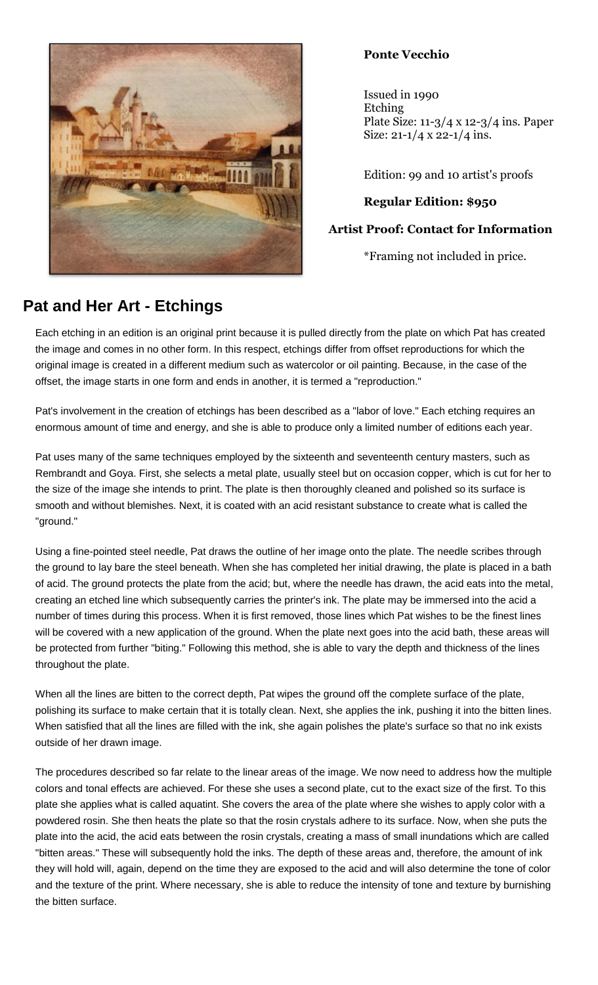

## **Ponte Vecchio**

Issued in 1990 Etching Plate Size: 11-3/4 x 12-3/4 ins. Paper Size:  $21-1/4 \times 22-1/4$  ins.

Edition: 99 and 10 artist's proofs

## **Regular Edition: \$950**

## **Artist Proof: Contact for Information**

\*Framing not included in price.

## **Pat and Her Art - Etchings**

Each etching in an edition is an original print because it is pulled directly from the plate on which Pat has created the image and comes in no other form. In this respect, etchings differ from offset reproductions for which the original image is created in a different medium such as watercolor or oil painting. Because, in the case of the offset, the image starts in one form and ends in another, it is termed a "reproduction."

Pat's involvement in the creation of etchings has been described as a "labor of love." Each etching requires an enormous amount of time and energy, and she is able to produce only a limited number of editions each year.

Pat uses many of the same techniques employed by the sixteenth and seventeenth century masters, such as Rembrandt and Goya. First, she selects a metal plate, usually steel but on occasion copper, which is cut for her to the size of the image she intends to print. The plate is then thoroughly cleaned and polished so its surface is smooth and without blemishes. Next, it is coated with an acid resistant substance to create what is called the "ground."

Using a fine-pointed steel needle, Pat draws the outline of her image onto the plate. The needle scribes through the ground to lay bare the steel beneath. When she has completed her initial drawing, the plate is placed in a bath of acid. The ground protects the plate from the acid; but, where the needle has drawn, the acid eats into the metal, creating an etched line which subsequently carries the printer's ink. The plate may be immersed into the acid a number of times during this process. When it is first removed, those lines which Pat wishes to be the finest lines will be covered with a new application of the ground. When the plate next goes into the acid bath, these areas will be protected from further "biting." Following this method, she is able to vary the depth and thickness of the lines throughout the plate.

When all the lines are bitten to the correct depth, Pat wipes the ground off the complete surface of the plate, polishing its surface to make certain that it is totally clean. Next, she applies the ink, pushing it into the bitten lines. When satisfied that all the lines are filled with the ink, she again polishes the plate's surface so that no ink exists outside of her drawn image.

The procedures described so far relate to the linear areas of the image. We now need to address how the multiple colors and tonal effects are achieved. For these she uses a second plate, cut to the exact size of the first. To this plate she applies what is called aquatint. She covers the area of the plate where she wishes to apply color with a powdered rosin. She then heats the plate so that the rosin crystals adhere to its surface. Now, when she puts the plate into the acid, the acid eats between the rosin crystals, creating a mass of small inundations which are called "bitten areas." These will subsequently hold the inks. The depth of these areas and, therefore, the amount of ink they will hold will, again, depend on the time they are exposed to the acid and will also determine the tone of color and the texture of the print. Where necessary, she is able to reduce the intensity of tone and texture by burnishing the bitten surface.